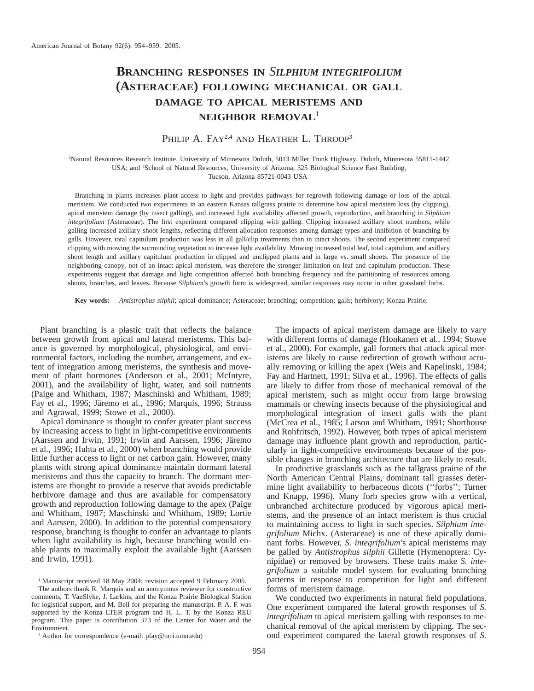# **BRANCHING RESPONSES IN** *SILPHIUM INTEGRIFOLIUM* **(ASTERACEAE) FOLLOWING MECHANICAL OR GALL DAMAGE TO APICAL MERISTEMS AND NEIGHBOR REMOVAL**<sup>1</sup>

# PHILIP A. FAY<sup>2,4</sup> AND HEATHER L. THROOP<sup>3</sup>

2 Natural Resources Research Institute, University of Minnesota Duluth, 5013 Miller Trunk Highway, Duluth, Minnesota 55811-1442 USA; and <sup>3</sup>School of Natural Resources, University of Arizona, 325 Biological Science East Building, Tucson, Arizona 85721-0043 USA

Branching in plants increases plant access to light and provides pathways for regrowth following damage or loss of the apical meristem. We conducted two experiments in an eastern Kansas tallgrass prairie to determine how apical meristem loss (by clipping), apical meristem damage (by insect galling), and increased light availability affected growth, reproduction, and branching in *Silphium integrifolium* (Asteraceae). The first experiment compared clipping with galling. Clipping increased axillary shoot numbers, while galling increased axillary shoot lengths, reflecting different allocation responses among damage types and inhibition of branching by galls. However, total capitulum production was less in all gall/clip treatments than in intact shoots. The second experiment compared clipping with mowing the surrounding vegetation to increase light availability. Mowing increased total leaf, total capitulum, and axillary shoot length and axillary capitulum production in clipped and unclipped plants and in large vs. small shoots. The presence of the neighboring canopy, not of an intact apical meristem, was therefore the stronger limitation on leaf and capitulum production. These experiments suggest that damage and light competition affected both branching frequency and the partitioning of resources among shoots, branches, and leaves. Because *Silphium*'s growth form is widespread, similar responses may occur in other grassland forbs.

**Key words:** *Antistrophus silphii*; apical dominance; Asteraceae; branching; competition; galls; herbivory; Konza Prairie.

Plant branching is a plastic trait that reflects the balance between growth from apical and lateral meristems. This balance is governed by morphological, physiological, and environmental factors, including the number, arrangement, and extent of integration among meristems, the synthesis and movement of plant hormones (Anderson et al., 2001; McIntyre, 2001), and the availability of light, water, and soil nutrients (Paige and Whitham, 1987; Maschinski and Whitham, 1989; Fay et al., 1996; Järemo et al., 1996; Marquis, 1996; Strauss and Agrawal, 1999; Stowe et al., 2000).

Apical dominance is thought to confer greater plant success by increasing access to light in light-competitive environments (Aarssen and Irwin, 1991; Irwin and Aarssen, 1996; Järemo et al., 1996; Huhta et al., 2000) when branching would provide little further access to light or net carbon gain. However, many plants with strong apical dominance maintain dormant lateral meristems and thus the capacity to branch. The dormant meristems are thought to provide a reserve that avoids predictable herbivore damage and thus are available for compensatory growth and reproduction following damage to the apex (Paige and Whitham, 1987; Maschinski and Whitham, 1989; Lortie and Aarssen, 2000). In addition to the potential compensatory response, branching is thought to confer an advantage to plants when light availability is high, because branching would enable plants to maximally exploit the available light (Aarssen and Irwin, 1991).

The authors thank R. Marquis and an anonymous reviewer for constructive comments, T. VanSlyke, J. Larkins, and the Konza Prairie Biological Station for logistical support, and M. Bell for preparing the manuscript. P. A. F. was supported by the Konza LTER program and H. L. T. by the Konza REU program. This paper is contribution 373 of the Center for Water and the Environment.

<sup>4</sup> Author for correspondence (e-mail: pfay@nrri.umn.edu)

The impacts of apical meristem damage are likely to vary with different forms of damage (Honkanen et al., 1994; Stowe et al., 2000). For example, gall formers that attack apical meristems are likely to cause redirection of growth without actually removing or killing the apex (Weis and Kapelinski, 1984; Fay and Hartnett, 1991; Silva et al., 1996). The effects of galls are likely to differ from those of mechanical removal of the apical meristem, such as might occur from large browsing mammals or chewing insects because of the physiological and morphological integration of insect galls with the plant (McCrea et al., 1985; Larson and Whitham, 1991; Shorthouse and Rohfritsch, 1992). However, both types of apical meristem damage may influence plant growth and reproduction, particularly in light-competitive environments because of the possible changes in branching architecture that are likely to result.

In productive grasslands such as the tallgrass prairie of the North American Central Plains, dominant tall grasses determine light availability to herbaceous dicots (''forbs''; Turner and Knapp, 1996). Many forb species grow with a vertical, unbranched architecture produced by vigorous apical meristems, and the presence of an intact meristem is thus crucial to maintaining access to light in such species. *Silphium integrifolium* Michx. (Asteraceae) is one of these apically dominant forbs. However, *S. integrifolium*'s apical meristems may be galled by *Antistrophus silphii* Gillette (Hymenoptera: Cynipidae) or removed by browsers. These traits make *S. integrifolium* a suitable model system for evaluating branching patterns in response to competition for light and different forms of meristem damage.

We conducted two experiments in natural field populations. One experiment compared the lateral growth responses of *S. integrifolium* to apical meristem galling with responses to mechanical removal of the apical meristem by clipping. The second experiment compared the lateral growth responses of *S.*

<sup>&</sup>lt;sup>1</sup> Manuscript received 18 May 2004; revision accepted 9 February 2005.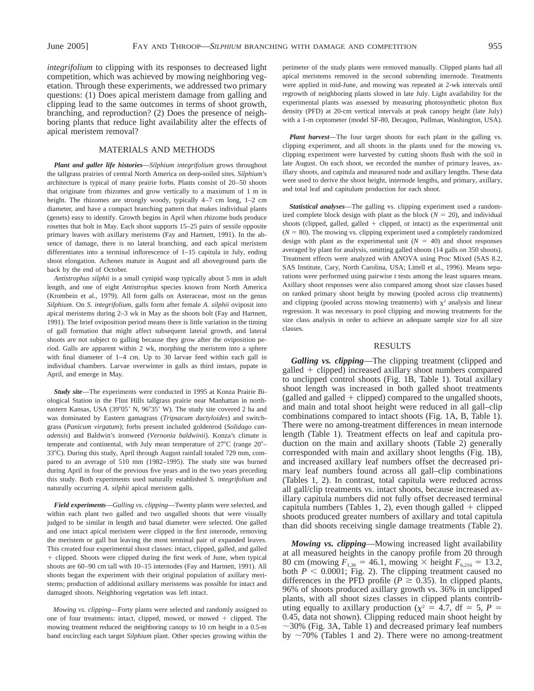*integrifolium* to clipping with its responses to decreased light competition, which was achieved by mowing neighboring vegetation. Through these experiments, we addressed two primary questions: (1) Does apical meristem damage from galling and clipping lead to the same outcomes in terms of shoot growth, branching, and reproduction? (2) Does the presence of neighboring plants that reduce light availability alter the effects of apical meristem removal?

#### MATERIALS AND METHODS

*Plant and galler life histories*—*Silphium integrifolium* grows throughout the tallgrass prairies of central North America on deep-soiled sites. *Silphium*'s architecture is typical of many prairie forbs. Plants consist of 20–50 shoots that originate from rhizomes and grow vertically to a maximum of 1 m in height. The rhizomes are strongly woody, typically 4–7 cm long, 1–2 cm diameter, and have a compact branching pattern that makes individual plants (genets) easy to identify. Growth begins in April when rhizome buds produce rosettes that bolt in May. Each shoot supports 15–25 pairs of sessile opposite primary leaves with axillary meristems (Fay and Hartnett, 1991). In the absence of damage, there is no lateral branching, and each apical meristem differentiates into a terminal inflorescence of 1–15 capitula in July, ending shoot elongation. Achenes mature in August and all aboveground parts die back by the end of October.

*Antistrophus silphii* is a small cynipid wasp typically about 5 mm in adult length, and one of eight *Antistrophus* species known from North America (Krombein et al., 1979). All form galls on Asteraceae, most on the genus *Silphium*. On *S. integrifolium*, galls form after female *A. silphii* oviposit into apical meristems during 2–3 wk in May as the shoots bolt (Fay and Hartnett, 1991). The brief oviposition period means there is little variation in the timing of gall formation that might affect subsequent lateral growth, and lateral shoots are not subject to galling because they grow after the oviposition period. Galls are apparent within 2 wk, morphing the meristem into a sphere with final diameter of 1–4 cm. Up to 30 larvae feed within each gall in individual chambers. Larvae overwinter in galls as third instars, pupate in April, and emerge in May.

*Study site*—The experiments were conducted in 1995 at Konza Prairie Biological Station in the Flint Hills tallgrass prairie near Manhattan in northeastern Kansas, USA (39°05' N, 96°35' W). The study site covered 2 ha and was dominated by Eastern gamagrass (*Tripsacum dactyloides*) and switchgrass (*Panicum virgatum*); forbs present included goldenrod (*Solidago canadensis*) and Baldwin's ironweed (*Vernonia baldwinii*). Konza's climate is temperate and continental, with July mean temperature of  $27^{\circ}$ C (range  $20^{\circ}$ – 33°C). During this study, April through August rainfall totaled 729 mm, compared to an average of 510 mm (1982–1995). The study site was burned during April in four of the previous five years and in the two years preceding this study. Both experiments used naturally established *S. integrifolium* and naturally occurring *A. silphii* apical meristem galls.

*Field experiments*—*Galling vs. clipping*—Twenty plants were selected, and within each plant two galled and two ungalled shoots that were visually judged to be similar in length and basal diameter were selected. One galled and one intact apical meristem were clipped in the first internode, removing the meristem or gall but leaving the most terminal pair of expanded leaves. This created four experimental shoot classes: intact, clipped, galled, and galled 1 clipped. Shoots were clipped during the first week of June, when typical shoots are 60–90 cm tall with 10–15 internodes (Fay and Hartnett, 1991). All shoots began the experiment with their original population of axillary meristems; production of additional axillary meristems was possible for intact and damaged shoots. Neighboring vegetation was left intact.

*Mowing vs. clipping*—Forty plants were selected and randomly assigned to one of four treatments: intact, clipped, mowed, or mowed  $+$  clipped. The mowing treatment reduced the neighboring canopy to 10 cm height in a 0.5-m band encircling each target *Silphium* plant. Other species growing within the

perimeter of the study plants were removed manually. Clipped plants had all apical meristems removed in the second subtending internode. Treatments were applied in mid-June, and mowing was repeated at 2-wk intervals until regrowth of neighboring plants slowed in late July. Light availability for the experimental plants was assessed by measuring photosynthetic photon flux density (PFD) at 20-cm vertical intervals at peak canopy height (late July) with a 1-m ceptometer (model SF-80, Decagon, Pullman, Washington, USA).

*Plant harvest*—The four target shoots for each plant in the galling vs. clipping experiment, and all shoots in the plants used for the mowing vs. clipping experiment were harvested by cutting shoots flush with the soil in late August. On each shoot, we recorded the number of primary leaves, axillary shoots, and capitula and measured node and axillary lengths. These data were used to derive the shoot height, internode lengths, and primary, axillary, and total leaf and capitulum production for each shoot.

*Statistical analyses*—The galling vs. clipping experiment used a randomized complete block design with plant as the block  $(N = 20)$ , and individual shoots (clipped, galled, galled  $+$  clipped, or intact) as the experimental unit  $(N = 80)$ . The mowing vs. clipping experiment used a completely randomized design with plant as the experimental unit  $(N = 40)$  and shoot responses averaged by plant for analysis, omitting galled shoots (14 galls on 350 shoots). Treatment effects were analyzed with ANOVA using Proc Mixed (SAS 8.2, SAS Institute, Cary, North Carolina, USA; Littell et al., 1996). Means separations were performed using pairwise *t* tests among the least squares means. Axillary shoot responses were also compared among shoot size classes based on ranked primary shoot height by mowing (pooled across clip treatments) and clipping (pooled across mowing treatments) with  $\chi^2$  analysis and linear regression. It was necessary to pool clipping and mowing treatments for the size class analysis in order to achieve an adequate sample size for all size classes.

## RESULTS

*Galling vs. clipping*—The clipping treatment (clipped and  $galled + clipped)$  increased axillary shoot numbers compared to unclipped control shoots (Fig. 1B, Table 1). Total axillary shoot length was increased in both galled shoot treatments (galled and galled  $+$  clipped) compared to the ungalled shoots, and main and total shoot height were reduced in all gall–clip combinations compared to intact shoots (Fig. 1A, B, Table 1). There were no among-treatment differences in mean internode length (Table 1). Treatment effects on leaf and capitula production on the main and axillary shoots (Table 2) generally corresponded with main and axillary shoot lengths (Fig. 1B), and increased axillary leaf numbers offset the decreased primary leaf numbers found across all gall–clip combinations (Tables 1, 2). In contrast, total capitula were reduced across all gall/clip treatments vs. intact shoots, because increased axillary capitula numbers did not fully offset decreased terminal capitula numbers (Tables 1, 2), even though galled  $+$  clipped shoots produced greater numbers of axillary and total capitula than did shoots receiving single damage treatments (Table 2).

*Mowing vs. clipping*—Mowing increased light availability at all measured heights in the canopy profile from 20 through 80 cm (mowing  $F_{1,36} = 46.1$ , mowing  $\times$  height  $F_{6,216} = 13.2$ , both  $P < 0.0001$ ; Fig. 2). The clipping treatment caused no differences in the PFD profile ( $P \ge 0.35$ ). In clipped plants, 96% of shoots produced axillary growth vs. 36% in unclipped plants, with all shoot sizes classes in clipped plants contributing equally to axillary production ( $\chi^2 = 4.7$ , df = 5, P = 0.45, data not shown). Clipping reduced main shoot height by  $\sim$ 30% (Fig. 3A, Table 1) and decreased primary leaf numbers by  $\sim$ 70% (Tables 1 and 2). There were no among-treatment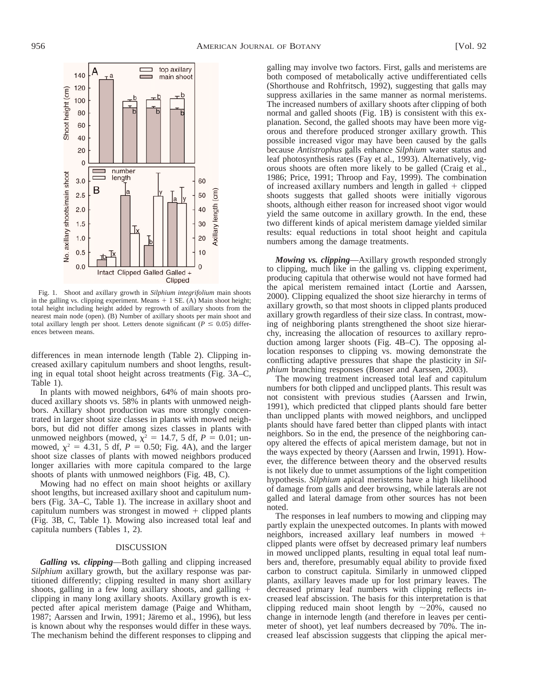

Fig. 1. Shoot and axillary growth in *Silphium integrifolium* main shoots in the galling vs. clipping experiment. Means  $+ 1$  SE. (A) Main shoot height; total height including height added by regrowth of axillary shoots from the nearest main node (open). (B) Number of axillary shoots per main shoot and total axillary length per shoot. Letters denote significant ( $P \le 0.05$ ) differences between means.

differences in mean internode length (Table 2). Clipping increased axillary capitulum numbers and shoot lengths, resulting in equal total shoot height across treatments (Fig. 3A–C, Table 1).

In plants with mowed neighbors, 64% of main shoots produced axillary shoots vs. 58% in plants with unmowed neighbors. Axillary shoot production was more strongly concentrated in larger shoot size classes in plants with mowed neighbors, but did not differ among sizes classes in plants with unmowed neighbors (mowed,  $\chi^2 = 14.7$ , 5 df,  $P = 0.01$ ; unmowed,  $\chi^2 = 4.31$ , 5 df,  $P = 0.50$ ; Fig. 4A), and the larger shoot size classes of plants with mowed neighbors produced longer axillaries with more capitula compared to the large shoots of plants with unmowed neighbors (Fig. 4B, C).

Mowing had no effect on main shoot heights or axillary shoot lengths, but increased axillary shoot and capitulum numbers (Fig. 3A–C, Table 1). The increase in axillary shoot and capitulum numbers was strongest in mowed  $+$  clipped plants (Fig. 3B, C, Table 1). Mowing also increased total leaf and capitula numbers (Tables 1, 2).

#### DISCUSSION

*Galling vs. clipping*—Both galling and clipping increased *Silphium* axillary growth, but the axillary response was partitioned differently; clipping resulted in many short axillary shoots, galling in a few long axillary shoots, and galling  $+$ clipping in many long axillary shoots. Axillary growth is expected after apical meristem damage (Paige and Whitham, 1987; Aarssen and Irwin, 1991; Järemo et al., 1996), but less is known about why the responses would differ in these ways. The mechanism behind the different responses to clipping and

galling may involve two factors. First, galls and meristems are both composed of metabolically active undifferentiated cells (Shorthouse and Rohfritsch, 1992), suggesting that galls may suppress axillaries in the same manner as normal meristems. The increased numbers of axillary shoots after clipping of both normal and galled shoots (Fig. 1B) is consistent with this explanation. Second, the galled shoots may have been more vigorous and therefore produced stronger axillary growth. This possible increased vigor may have been caused by the galls because *Antistrophus* galls enhance *Silphium* water status and leaf photosynthesis rates (Fay et al., 1993). Alternatively, vigorous shoots are often more likely to be galled (Craig et al., 1986; Price, 1991; Throop and Fay, 1999). The combination of increased axillary numbers and length in galled  $+$  clipped shoots suggests that galled shoots were initially vigorous shoots, although either reason for increased shoot vigor would yield the same outcome in axillary growth. In the end, these two different kinds of apical meristem damage yielded similar results: equal reductions in total shoot height and capitula numbers among the damage treatments.

*Mowing vs. clipping*—Axillary growth responded strongly to clipping, much like in the galling vs. clipping experiment, producing capitula that otherwise would not have formed had the apical meristem remained intact (Lortie and Aarssen, 2000). Clipping equalized the shoot size hierarchy in terms of axillary growth, so that most shoots in clipped plants produced axillary growth regardless of their size class. In contrast, mowing of neighboring plants strengthened the shoot size hierarchy, increasing the allocation of resources to axillary reproduction among larger shoots (Fig. 4B–C). The opposing allocation responses to clipping vs. mowing demonstrate the conflicting adaptive pressures that shape the plasticity in *Silphium* branching responses (Bonser and Aarssen, 2003).

The mowing treatment increased total leaf and capitulum numbers for both clipped and unclipped plants. This result was not consistent with previous studies (Aarssen and Irwin, 1991), which predicted that clipped plants should fare better than unclipped plants with mowed neighbors, and unclipped plants should have fared better than clipped plants with intact neighbors. So in the end, the presence of the neighboring canopy altered the effects of apical meristem damage, but not in the ways expected by theory (Aarssen and Irwin, 1991). However, the difference between theory and the observed results is not likely due to unmet assumptions of the light competition hypothesis. *Silphium* apical meristems have a high likelihood of damage from galls and deer browsing, while laterals are not galled and lateral damage from other sources has not been noted.

The responses in leaf numbers to mowing and clipping may partly explain the unexpected outcomes. In plants with mowed neighbors, increased axillary leaf numbers in mowed  $+$ clipped plants were offset by decreased primary leaf numbers in mowed unclipped plants, resulting in equal total leaf numbers and, therefore, presumably equal ability to provide fixed carbon to construct capitula. Similarly in unmowed clipped plants, axillary leaves made up for lost primary leaves. The decreased primary leaf numbers with clipping reflects increased leaf abscission. The basis for this interpretation is that clipping reduced main shoot length by  $\sim$ 20%, caused no change in internode length (and therefore in leaves per centimeter of shoot), yet leaf numbers decreased by 70%. The increased leaf abscission suggests that clipping the apical mer-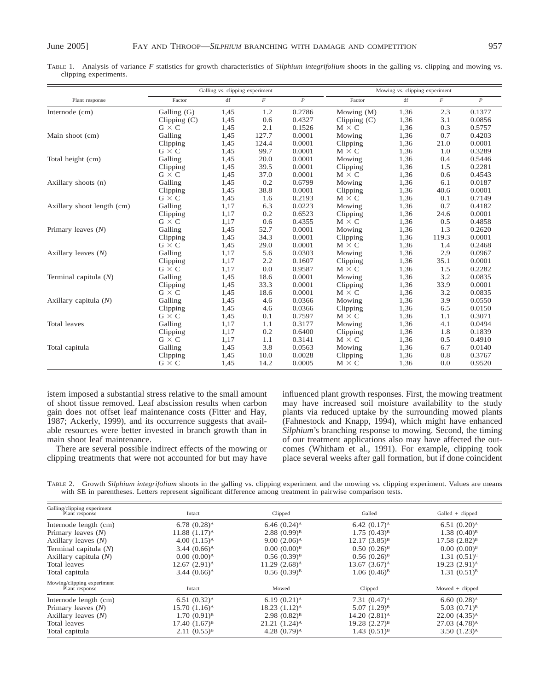TABLE 1. Analysis of variance *F* statistics for growth characteristics of *Silphium integrifolium* shoots in the galling vs. clipping and mowing vs. clipping experiments.

|                            | Galling vs. clipping experiment |                        |                | Mowing vs. clipping experiment |                |                                             |          |                  |
|----------------------------|---------------------------------|------------------------|----------------|--------------------------------|----------------|---------------------------------------------|----------|------------------|
| Plant response             | Factor                          | $\mathrm{d}\mathrm{f}$ | $\overline{F}$ | $\boldsymbol{P}$               | Factor         | $\mathrm{df}% _{H}=\mathrm{df}_{H}(\theta)$ | $\cal F$ | $\boldsymbol{P}$ |
| Internode (cm)             | Galling (G)                     | 1,45                   | 1.2            | 0.2786                         | Mowing (M)     | 1,36                                        | 2.3      | 0.1377           |
|                            | Clipping $(C)$                  | 1,45                   | 0.6            | 0.4327                         | Clipping $(C)$ | 1,36                                        | 3.1      | 0.0856           |
|                            | $G \times C$                    | 1,45                   | 2.1            | 0.1526                         | $M \times C$   | 1,36                                        | 0.3      | 0.5757           |
| Main shoot (cm)            | Galling                         | 1,45                   | 127.7          | 0.0001                         | Mowing         | 1,36                                        | 0.7      | 0.4203           |
|                            | Clipping                        | 1,45                   | 124.4          | 0.0001                         | Clipping       | 1,36                                        | 21.0     | 0.0001           |
|                            | $G \times C$                    | 1,45                   | 99.7           | 0.0001                         | $M \times C$   | 1,36                                        | 1.0      | 0.3289           |
| Total height (cm)          | Galling                         | 1,45                   | 20.0           | 0.0001                         | Mowing         | 1,36                                        | 0.4      | 0.5446           |
|                            | Clipping                        | 1,45                   | 39.5           | 0.0001                         | Clipping       | 1,36                                        | 1.5      | 0.2281           |
|                            | $G \times C$                    | 1,45                   | 37.0           | 0.0001                         | $M \times C$   | 1,36                                        | 0.6      | 0.4543           |
| Axillary shoots (n)        | Galling                         | 1,45                   | 0.2            | 0.6799                         | Mowing         | 1,36                                        | 6.1      | 0.0187           |
|                            | Clipping                        | 1,45                   | 38.8           | 0.0001                         | Clipping       | 1,36                                        | 40.6     | 0.0001           |
|                            | $G \times C$                    | 1,45                   | 1.6            | 0.2193                         | $M \times C$   | 1,36                                        | 0.1      | 0.7149           |
| Axillary shoot length (cm) | Galling                         | 1,17                   | 6.3            | 0.0223                         | Mowing         | 1,36                                        | 0.7      | 0.4182           |
|                            | Clipping                        | 1,17                   | 0.2            | 0.6523                         | Clipping       | 1,36                                        | 24.6     | 0.0001           |
|                            | $G \times C$                    | 1,17                   | 0.6            | 0.4355                         | $M \times C$   | 1,36                                        | 0.5      | 0.4858           |
| Primary leaves $(N)$       | Galling                         | 1,45                   | 52.7           | 0.0001                         | Mowing         | 1,36                                        | 1.3      | 0.2620           |
|                            | Clipping                        | 1,45                   | 34.3           | 0.0001                         | Clipping       | 1,36                                        | 119.3    | 0.0001           |
|                            | $G \times C$                    | 1,45                   | 29.0           | 0.0001                         | $M \times C$   | 1,36                                        | 1.4      | 0.2468           |
| Axillary leaves $(N)$      | Galling                         | 1,17                   | 5.6            | 0.0303                         | Mowing         | 1,36                                        | 2.9      | 0.0967           |
|                            | Clipping                        | 1,17                   | 2.2            | 0.1607                         | Clipping       | 1,36                                        | 35.1     | 0.0001           |
|                            | $G \times C$                    | 1,17                   | 0.0            | 0.9587                         | $M \times C$   | 1,36                                        | 1.5      | 0.2282           |
| Terminal capitula $(N)$    | Galling                         | 1,45                   | 18.6           | 0.0001                         | Mowing         | 1,36                                        | 3.2      | 0.0835           |
|                            | Clipping                        | 1,45                   | 33.3           | 0.0001                         | Clipping       | 1,36                                        | 33.9     | 0.0001           |
|                            | $G \times C$                    | 1,45                   | 18.6           | 0.0001                         | $M \times C$   | 1,36                                        | 3.2      | 0.0835           |
| Axillary capitula $(N)$    | Galling                         | 1,45                   | 4.6            | 0.0366                         | Mowing         | 1,36                                        | 3.9      | 0.0550           |
|                            | Clipping                        | 1,45                   | 4.6            | 0.0366                         | Clipping       | 1,36                                        | 6.5      | 0.0150           |
|                            | $G \times C$                    | 1,45                   | 0.1            | 0.7597                         | $M \times C$   | 1,36                                        | 1.1      | 0.3071           |
| Total leaves               | Galling                         | 1,17                   | 1.1            | 0.3177                         | Mowing         | 1,36                                        | 4.1      | 0.0494           |
|                            | Clipping                        | 1,17                   | 0.2            | 0.6400                         | Clipping       | 1,36                                        | 1.8      | 0.1839           |
|                            | $G \times C$                    | 1,17                   | 1.1            | 0.3141                         | $M \times C$   | 1,36                                        | 0.5      | 0.4910           |
| Total capitula             | Galling                         | 1,45                   | 3.8            | 0.0563                         | Mowing         | 1,36                                        | 6.7      | 0.0140           |
|                            | Clipping                        | 1,45                   | 10.0           | 0.0028                         | Clipping       | 1,36                                        | 0.8      | 0.3767           |
|                            | $G \times C$                    | 1,45                   | 14.2           | 0.0005                         | $M \times C$   | 1,36                                        | 0.0      | 0.9520           |

istem imposed a substantial stress relative to the small amount of shoot tissue removed. Leaf abscission results when carbon gain does not offset leaf maintenance costs (Fitter and Hay, 1987; Ackerly, 1999), and its occurrence suggests that available resources were better invested in branch growth than in main shoot leaf maintenance.

There are several possible indirect effects of the mowing or clipping treatments that were not accounted for but may have

influenced plant growth responses. First, the mowing treatment may have increased soil moisture availability to the study plants via reduced uptake by the surrounding mowed plants (Fahnestock and Knapp, 1994), which might have enhanced *Silphium*'s branching response to mowing. Second, the timing of our treatment applications also may have affected the outcomes (Whitham et al., 1991). For example, clipping took place several weeks after gall formation, but if done coincident

TABLE 2. Growth *Silphium integrifolium* shoots in the galling vs. clipping experiment and the mowing vs. clipping experiment. Values are means with SE in parentheses. Letters represent significant difference among treatment in pairwise comparison tests.

| Galling/clipping experiment<br>Plant response | Intact                     | Clipped                    | Galled                      | $Galled + clipped$        |
|-----------------------------------------------|----------------------------|----------------------------|-----------------------------|---------------------------|
| Internode length (cm)                         | 6.78 $(0.28)$ <sup>A</sup> | 6.46 $(0.24)$ <sup>A</sup> | 6.42 $(0.17)$ <sup>A</sup>  | $6.51(0.20)$ <sup>A</sup> |
| Primary leaves $(N)$                          | $11.88(1.17)$ <sup>A</sup> | $2.88(0.99)^{B}$           | $1.75(0.43)^{B}$            | $1.38(0.40)^{B}$          |
| Axillary leaves $(N)$                         | $4.00(1.15)^{A}$           | $9.00(2.06)$ <sup>A</sup>  | $12.17(3.85)^{B}$           | $17.58(2.82)^{B}$         |
| Terminal capitula $(N)$                       | $3.44(0.66)$ <sup>A</sup>  | $0.00(0.00)^{B}$           | $0.50(0.26)^{B}$            | $0.00(0.00)^{B}$          |
| Axillary capitula (N)                         | $0.00(0.00)$ <sup>A</sup>  | $0.56(0.39)^{B}$           | $0.56(0.26)^{B}$            | $1.31 (0.51)^c$           |
| Total leaves                                  | $12.67(2.91)^{A}$          | $11.29(2.68)$ <sup>A</sup> | 13.67 $(3.67)^A$            | 19.23 (2.91) <sup>A</sup> |
| Total capitula                                | $3.44 (0.66)$ <sup>A</sup> | $0.56(0.39)^{B}$           | $1.06(0.46)^{B}$            | $1.31(0.51)^{B}$          |
| Mowing/clipping experiment<br>Plant response  | Intact                     | Mowed                      | Clipped                     | Mowed $+$ clipped         |
| Internode length (cm)                         | $6.51(0.32)$ <sup>A</sup>  | 6.19 $(0.21)$ <sup>A</sup> | $7.31(0.47)$ <sup>A</sup>   | $6.60(0.28)$ <sup>A</sup> |
| Primary leaves $(N)$                          | $15.70(1.16)$ <sup>A</sup> | $18.23(1.12)^{A}$          | $5.07(1.29)^{B}$            | $5.03(0.71)^{B}$          |
| Axillary leaves $(N)$                         | $1.70(0.91)^{B}$           | $2.98(0.82)^{B}$           | $14.20 (2.81)$ <sup>A</sup> | $22.00(4.35)^{A}$         |
| Total leaves                                  | $17.40(1.67)^{B}$          | $21.21(1.24)^{A}$          | $19.28$ $(2.27)^{B}$        | $27.03(4.78)^{A}$         |
| Total capitula                                | $2.11(0.55)^{B}$           | 4.28 $(0.79)$ <sup>A</sup> | $1.43 (0.51)^{B}$           | $3.50(1.23)$ <sup>A</sup> |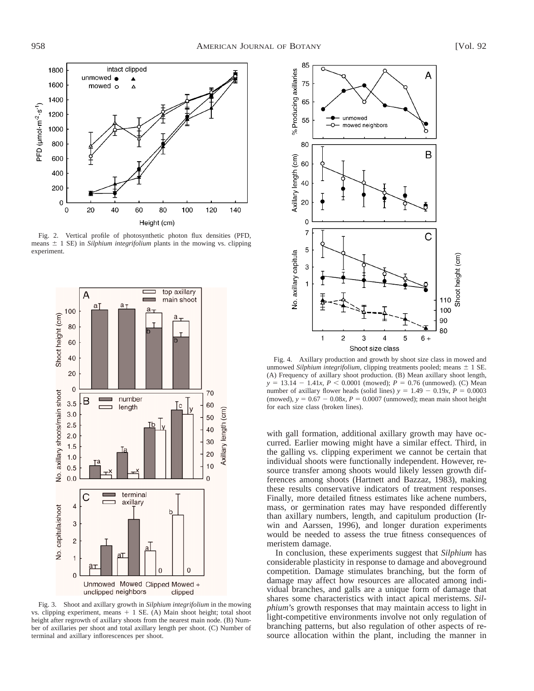

Fig. 2. Vertical profile of photosynthetic photon flux densities (PFD, means  $\pm$  1 SE) in *Silphium integrifolium* plants in the mowing vs. clipping experiment.



Fig. 3. Shoot and axillary growth in *Silphium integrifolium* in the mowing vs. clipping experiment, means  $+$  1 SE. (A) Main shoot height; total shoot height after regrowth of axillary shoots from the nearest main node. (B) Number of axillaries per shoot and total axillary length per shoot. (C) Number of terminal and axillary inflorescences per shoot.



Fig. 4. Axillary production and growth by shoot size class in mowed and unmowed *Silphium integrifolium*, clipping treatments pooled; means  $\pm$  1 SE. (A) Frequency of axillary shoot production. (B) Mean axillary shoot length,  $y = 13.14 - 1.41x$ ,  $P < 0.0001$  (mowed);  $P = 0.76$  (unmowed). (C) Mean number of axillary flower heads (solid lines)  $y = 1.49 - 0.19x$ ,  $P = 0.0003$ (mowed),  $y = 0.67 - 0.08x$ ,  $P = 0.0007$  (unmowed); mean main shoot height for each size class (broken lines).

with gall formation, additional axillary growth may have occurred. Earlier mowing might have a similar effect. Third, in the galling vs. clipping experiment we cannot be certain that individual shoots were functionally independent. However, resource transfer among shoots would likely lessen growth differences among shoots (Hartnett and Bazzaz, 1983), making these results conservative indicators of treatment responses. Finally, more detailed fitness estimates like achene numbers, mass, or germination rates may have responded differently than axillary numbers, length, and capitulum production (Irwin and Aarssen, 1996), and longer duration experiments would be needed to assess the true fitness consequences of meristem damage.

In conclusion, these experiments suggest that *Silphium* has considerable plasticity in response to damage and aboveground competition. Damage stimulates branching, but the form of damage may affect how resources are allocated among individual branches, and galls are a unique form of damage that shares some characteristics with intact apical meristems. *Silphium*'s growth responses that may maintain access to light in light-competitive environments involve not only regulation of branching patterns, but also regulation of other aspects of resource allocation within the plant, including the manner in